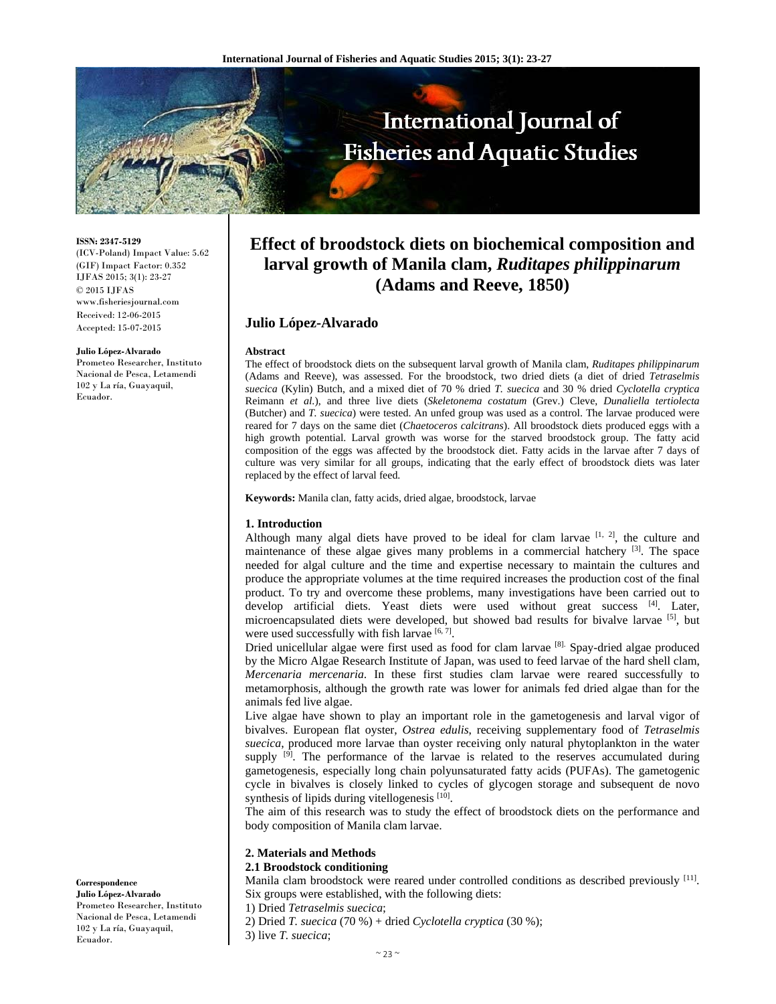

**ISSN: 2347-5129**  (ICV-Poland) Impact Value: 5.62 (GIF) Impact Factor: 0.352 IJFAS 2015; 3(1): 23-27  $\odot$  2015 IJFAS www.fisheriesjournal.com Received: 12-06-2015 Accepted: 15-07-2015

#### **Julio López-Alvarado**

Prometeo Researcher, Instituto Nacional de Pesca, Letamendi 102 y La ría, Guayaquil, Ecuador.

#### culture was very similar for all groups, indicating that the early effect of broodstock diets was later replaced by the effect of larval feed.

**Julio López-Alvarado** 

**Abstract**

**Keywords:** Manila clan, fatty acids, dried algae, broodstock, larvae

#### **1. Introduction**

Although many algal diets have proved to be ideal for clam larvae  $[1, 2]$ , the culture and maintenance of these algae gives many problems in a commercial hatchery <sup>[3]</sup>. The space needed for algal culture and the time and expertise necessary to maintain the cultures and produce the appropriate volumes at the time required increases the production cost of the final product. To try and overcome these problems, many investigations have been carried out to develop artificial diets. Yeast diets were used without great success  $[4]$ . Later, microencapsulated diets were developed, but showed bad results for bivalve larvae [5], but were used successfully with fish larvae [6,7].

**Effect of broodstock diets on biochemical composition and larval growth of Manila clam,** *Ruditapes philippinarum* **(Adams and Reeve, 1850)** 

The effect of broodstock diets on the subsequent larval growth of Manila clam, *Ruditapes philippinarum* (Adams and Reeve), was assessed. For the broodstock, two dried diets (a diet of dried *Tetraselmis suecica* (Kylin) Butch, and a mixed diet of 70 % dried *T. suecica* and 30 % dried *Cyclotella cryptica* Reimann *et al*.), and three live diets (*Skeletonema costatum* (Grev.) Cleve, *Dunaliella tertiolecta* (Butcher) and *T. suecica*) were tested. An unfed group was used as a control. The larvae produced were reared for 7 days on the same diet (*Chaetoceros calcitrans*). All broodstock diets produced eggs with a high growth potential. Larval growth was worse for the starved broodstock group. The fatty acid composition of the eggs was affected by the broodstock diet. Fatty acids in the larvae after 7 days of

Dried unicellular algae were first used as food for clam larvae [8]. Spay-dried algae produced by the Micro Algae Research Institute of Japan, was used to feed larvae of the hard shell clam, *Mercenaria mercenaria*. In these first studies clam larvae were reared successfully to metamorphosis, although the growth rate was lower for animals fed dried algae than for the animals fed live algae.

Live algae have shown to play an important role in the gametogenesis and larval vigor of bivalves. European flat oyster, *Ostrea edulis*, receiving supplementary food of *Tetraselmis suecica*, produced more larvae than oyster receiving only natural phytoplankton in the water supply  $[9]$ . The performance of the larvae is related to the reserves accumulated during gametogenesis, especially long chain polyunsaturated fatty acids (PUFAs). The gametogenic cycle in bivalves is closely linked to cycles of glycogen storage and subsequent de novo synthesis of lipids during vitellogenesis [10].

The aim of this research was to study the effect of broodstock diets on the performance and body composition of Manila clam larvae.

## **2. Materials and Methods**

## **2.1 Broodstock conditioning**

Manila clam broodstock were reared under controlled conditions as described previously  $[11]$ . Six groups were established, with the following diets:

1) Dried *Tetraselmis suecica*;

2) Dried *T. suecica* (70 %) + dried *Cyclotella cryptica* (30 %);

3) live *T. suecica*;

**Correspondence** 

**Julio López-Alvarado**  Prometeo Researcher, Instituto Nacional de Pesca, Letamendi 102 y La ría, Guayaquil, Ecuador.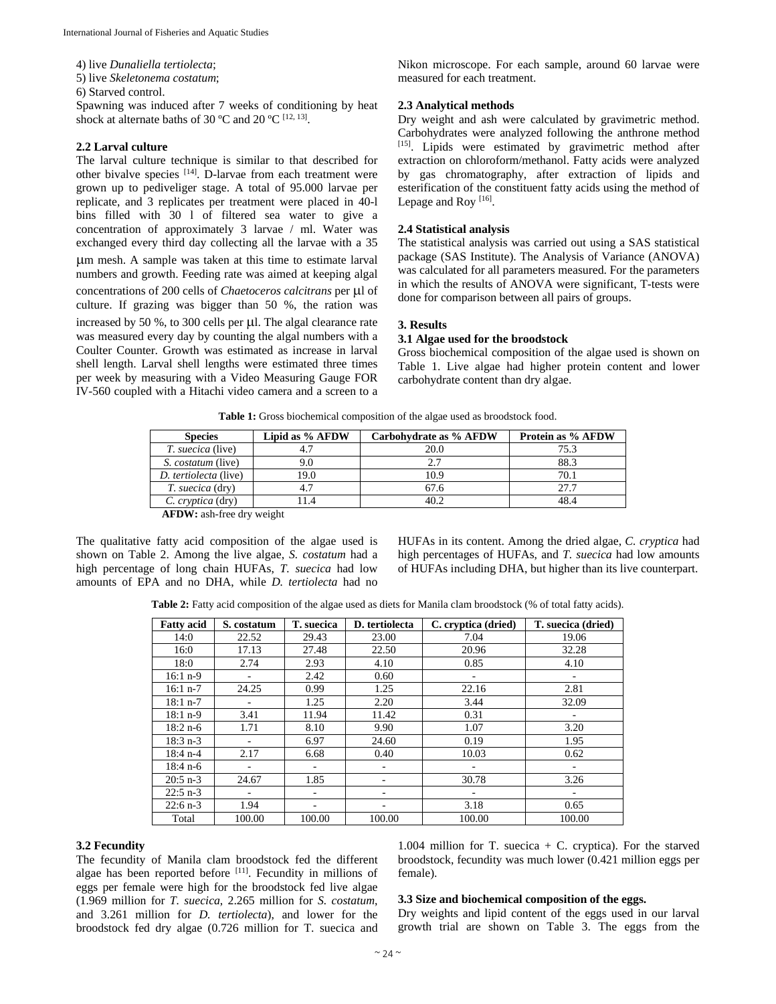4) live *Dunaliella tertiolecta*;

5) live *Skeletonema costatum*;

6) Starved control.

Spawning was induced after 7 weeks of conditioning by heat shock at alternate baths of 30 °C and 20 °C  $^{[12, 13]}$ .

## **2.2 Larval culture**

The larval culture technique is similar to that described for other bivalve species [14]. D-larvae from each treatment were grown up to pediveliger stage. A total of 95.000 larvae per replicate, and 3 replicates per treatment were placed in 40-l bins filled with 30 l of filtered sea water to give a concentration of approximately 3 larvae / ml. Water was exchanged every third day collecting all the larvae with a 35 m mesh. A sample was taken at this time to estimate larval numbers and growth. Feeding rate was aimed at keeping algal concentrations of 200 cells of *Chaetoceros calcitrans* per µl of culture. If grazing was bigger than 50 %, the ration was increased by 50 %, to 300 cells per  $\mu$ l. The algal clearance rate was measured every day by counting the algal numbers with a Coulter Counter. Growth was estimated as increase in larval shell length. Larval shell lengths were estimated three times per week by measuring with a Video Measuring Gauge FOR IV-560 coupled with a Hitachi video camera and a screen to a

Nikon microscope. For each sample, around 60 larvae were measured for each treatment.

## **2.3 Analytical methods**

Dry weight and ash were calculated by gravimetric method. Carbohydrates were analyzed following the anthrone method [15]. Lipids were estimated by gravimetric method after extraction on chloroform/methanol. Fatty acids were analyzed by gas chromatography, after extraction of lipids and esterification of the constituent fatty acids using the method of Lepage and Roy [16].

## **2.4 Statistical analysis**

The statistical analysis was carried out using a SAS statistical package (SAS Institute). The Analysis of Variance (ANOVA) was calculated for all parameters measured. For the parameters in which the results of ANOVA were significant, T-tests were done for comparison between all pairs of groups.

## **3. Results**

## **3.1 Algae used for the broodstock**

Gross biochemical composition of the algae used is shown on Table 1. Live algae had higher protein content and lower carbohydrate content than dry algae.

**Table 1:** Gross biochemical composition of the algae used as broodstock food.

| <b>Species</b>            | Lipid as % AFDW         | Carbohydrate as % AFDW | <b>Protein as % AFDW</b> |
|---------------------------|-------------------------|------------------------|--------------------------|
| <i>T. suecica</i> (live)  |                         | 20.0                   | 75.3                     |
| <i>S. costatum</i> (live) | 9.0                     | 2.7                    | 88.3                     |
| D. tertiolecta (live)     | 19.0                    | 10.9                   | 70.1                     |
| <i>T. suecica</i> (dry)   | 4.7                     | 67.6                   | 27.7                     |
| C. cryptica (dry)         | 1.4                     | 40.2                   |                          |
| $\sim$                    | $\cdot$ $\cdot$ $\cdot$ |                        |                          |

**AFDW:** ash-free dry weight

The qualitative fatty acid composition of the algae used is shown on Table 2. Among the live algae, *S. costatum* had a high percentage of long chain HUFAs, *T. suecica* had low amounts of EPA and no DHA, while *D. tertiolecta* had no HUFAs in its content. Among the dried algae, *C. cryptica* had high percentages of HUFAs, and *T. suecica* had low amounts of HUFAs including DHA, but higher than its live counterpart.

**Table 2:** Fatty acid composition of the algae used as diets for Manila clam broodstock (% of total fatty acids).

| <b>Fatty acid</b> | S. costatum | T. suecica | D. tertiolecta | C. cryptica (dried) | T. suecica (dried) |
|-------------------|-------------|------------|----------------|---------------------|--------------------|
| 14:0              | 22.52       | 29.43      | 23.00          | 7.04                | 19.06              |
| 16:0              | 17.13       | 27.48      | 22.50          | 20.96               | 32.28              |
| 18:0              | 2.74        | 2.93       | 4.10           | 0.85                | 4.10               |
| $16:1 n-9$        |             | 2.42       | 0.60           |                     |                    |
| $16:1 n-7$        | 24.25       | 0.99       | 1.25           | 22.16               | 2.81               |
| $18:1 n-7$        |             | 1.25       | 2.20           | 3.44                | 32.09              |
| $18:1 n-9$        | 3.41        | 11.94      | 11.42          | 0.31                |                    |
| $18:2 n-6$        | 1.71        | 8.10       | 9.90           | 1.07                | 3.20               |
| $18:3 n-3$        |             | 6.97       | 24.60          | 0.19                | 1.95               |
| $18:4 n-4$        | 2.17        | 6.68       | 0.40           | 10.03               | 0.62               |
| $18:4 n-6$        |             |            | $\overline{a}$ | -                   | -                  |
| $20:5$ n-3        | 24.67       | 1.85       | ٠              | 30.78               | 3.26               |
| $22:5$ n-3        |             |            |                |                     |                    |
| $22:6$ n-3        | 1.94        |            | ٠              | 3.18                | 0.65               |
| Total             | 100.00      | 100.00     | 100.00         | 100.00              | 100.00             |

## **3.2 Fecundity**

The fecundity of Manila clam broodstock fed the different algae has been reported before  $[11]$ . Fecundity in millions of eggs per female were high for the broodstock fed live algae (1.969 million for *T. suecica*, 2.265 million for *S. costatum*, and 3.261 million for *D. tertiolecta*), and lower for the broodstock fed dry algae (0.726 million for T. suecica and 1.004 million for T. suecica  $+$  C. cryptica). For the starved broodstock, fecundity was much lower (0.421 million eggs per female).

# **3.3 Size and biochemical composition of the eggs.**

Dry weights and lipid content of the eggs used in our larval growth trial are shown on Table 3. The eggs from the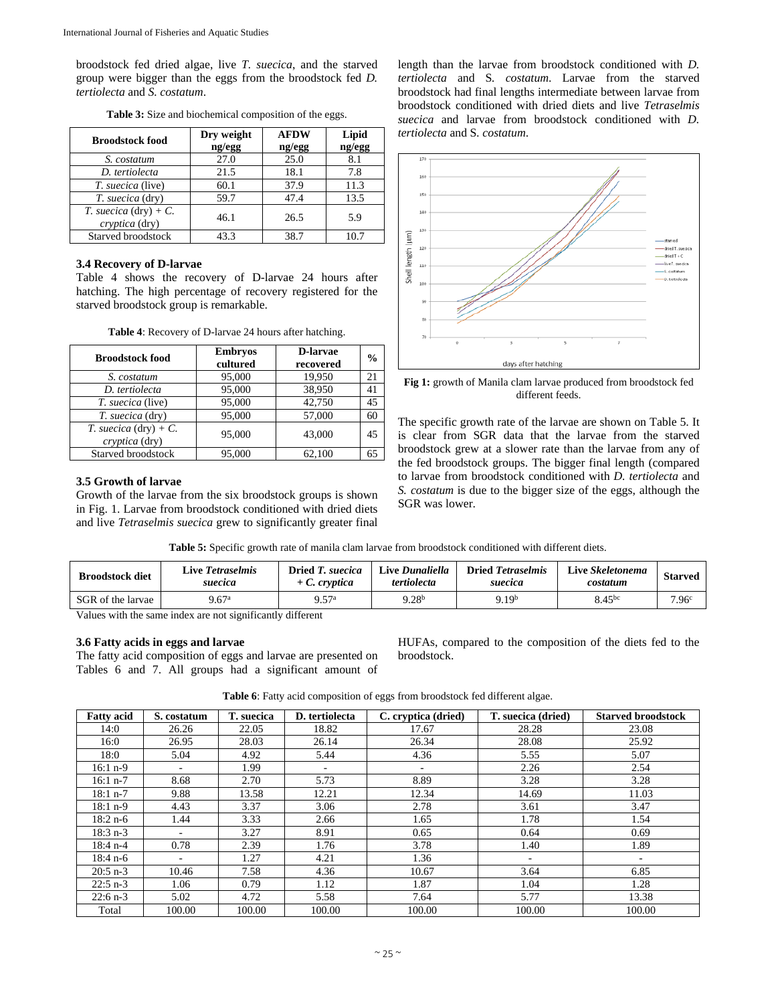broodstock fed dried algae, live *T. suecica*, and the starved group were bigger than the eggs from the broodstock fed *D. tertiolecta* and *S. costatum*.

| <b>Broodstock food</b>                                   | Dry weight<br>ng/egg | <b>AFDW</b><br>ng/egg | Lipid<br>ng/egg |
|----------------------------------------------------------|----------------------|-----------------------|-----------------|
| S. costatum                                              | 27.0                 | 25.0                  | 8.1             |
| D. tertiolecta                                           | 21.5                 | 18.1                  | 7.8             |
| T. suecica (live)                                        | 60.1                 | 37.9                  | 11.3            |
| T. suecica (dry)                                         | 59.7                 | 47.4                  | 13.5            |
| <i>T. suecica</i> (dry) + $C$ .<br><i>cryptica</i> (dry) | 46.1                 | 26.5                  | 5.9             |
| Starved broodstock                                       | 43.3                 | 38.7                  | 10.7            |

**Table 3:** Size and biochemical composition of the eggs.

#### **3.4 Recovery of D-larvae**

Table 4 shows the recovery of D-larvae 24 hours after hatching. The high percentage of recovery registered for the starved broodstock group is remarkable.

| <b>Broodstock food</b>                            | <b>Embryos</b><br>cultured | D-larvae<br>recovered | $\frac{0}{0}$ |
|---------------------------------------------------|----------------------------|-----------------------|---------------|
| S. costatum                                       | 95,000                     | 19,950                | 21            |
| D. tertiolecta                                    | 95,000                     | 38,950                | 41            |
| <i>T. suecica</i> (live)                          | 95,000                     | 42,750                | 45            |
| T. suecica (dry)                                  | 95,000                     | 57,000                | 60            |
| <i>T. suecica</i> (dry) + $C$ .<br>cryptica (dry) | 95,000                     | 43,000                | 45            |
| Starved broodstock                                | 95,000                     | 62.100                | 65            |

**Table 4**: Recovery of D-larvae 24 hours after hatching.

#### **3.5 Growth of larvae**

Growth of the larvae from the six broodstock groups is shown in Fig. 1. Larvae from broodstock conditioned with dried diets and live *Tetraselmis suecica* grew to significantly greater final length than the larvae from broodstock conditioned with *D. tertiolecta* and S*. costatum*. Larvae from the starved broodstock had final lengths intermediate between larvae from broodstock conditioned with dried diets and live *Tetraselmis suecica* and larvae from broodstock conditioned with *D. tertiolecta* and S*. costatum*.



**Fig 1:** growth of Manila clam larvae produced from broodstock fed different feeds.

The specific growth rate of the larvae are shown on Table 5. It is clear from SGR data that the larvae from the starved broodstock grew at a slower rate than the larvae from any of the fed broodstock groups. The bigger final length (compared to larvae from broodstock conditioned with *D. tertiolecta* and *S. costatum* is due to the bigger size of the eggs, although the SGR was lower.

**Table 5:** Specific growth rate of manila clam larvae from broodstock conditioned with different diets.

| <b>Broodstock diet</b> | Live <i>Tetraselmis</i><br>suecica | Dried T. suecica<br>$+ C$ . cryptica | Live Dunaliella<br>tertiolecta | <b>Dried Tetraselmis</b><br>suecica | Live Skeletonema<br>costatum | <b>Starved</b> |
|------------------------|------------------------------------|--------------------------------------|--------------------------------|-------------------------------------|------------------------------|----------------|
| SGR of the larvae      | $9.67$ a                           | $0.57^{\rm a}$                       | $9.28^{\rm b}$                 | 9.19 <sup>b</sup>                   | $8.45^{bc}$                  | $7.96^{\circ}$ |

Values with the same index are not significantly different

#### **3.6 Fatty acids in eggs and larvae**

The fatty acid composition of eggs and larvae are presented on Tables 6 and 7. All groups had a significant amount of

HUFAs, compared to the composition of the diets fed to the broodstock.

| <b>Fatty acid</b> | S. costatum              | T. suecica | D. tertiolecta           | C. cryptica (dried)      | T. suecica (dried)       | <b>Starved broodstock</b> |
|-------------------|--------------------------|------------|--------------------------|--------------------------|--------------------------|---------------------------|
| 14:0              | 26.26                    | 22.05      | 18.82                    | 17.67                    | 28.28                    | 23.08                     |
| 16:0              | 26.95                    | 28.03      | 26.14                    | 26.34                    | 28.08                    | 25.92                     |
| 18:0              | 5.04                     | 4.92       | 5.44                     | 4.36                     | 5.55                     | 5.07                      |
| $16:1 n-9$        | $\overline{\phantom{a}}$ | 1.99       | $\overline{\phantom{a}}$ | $\overline{\phantom{a}}$ | 2.26                     | 2.54                      |
| $16:1 n-7$        | 8.68                     | 2.70       | 5.73                     | 8.89                     | 3.28                     | 3.28                      |
| $18:1 n-7$        | 9.88                     | 13.58      | 12.21                    | 12.34                    | 14.69                    | 11.03                     |
| $18:1 n-9$        | 4.43                     | 3.37       | 3.06                     | 2.78                     | 3.61                     | 3.47                      |
| $18:2 n-6$        | 1.44                     | 3.33       | 2.66                     | 1.65                     | 1.78                     | 1.54                      |
| $18:3 n-3$        | $\overline{\phantom{0}}$ | 3.27       | 8.91                     | 0.65                     | 0.64                     | 0.69                      |
| $18:4 n-4$        | 0.78                     | 2.39       | 1.76                     | 3.78                     | 1.40                     | 1.89                      |
| $18:4 n-6$        | ٠                        | 1.27       | 4.21                     | 1.36                     | $\overline{\phantom{a}}$ | $\overline{\phantom{a}}$  |
| $20:5$ n-3        | 10.46                    | 7.58       | 4.36                     | 10.67                    | 3.64                     | 6.85                      |
| $22:5$ n-3        | 1.06                     | 0.79       | 1.12                     | 1.87                     | 1.04                     | 1.28                      |
| $22:6$ n-3        | 5.02                     | 4.72       | 5.58                     | 7.64                     | 5.77                     | 13.38                     |
| Total             | 100.00                   | 100.00     | 100.00                   | 100.00                   | 100.00                   | 100.00                    |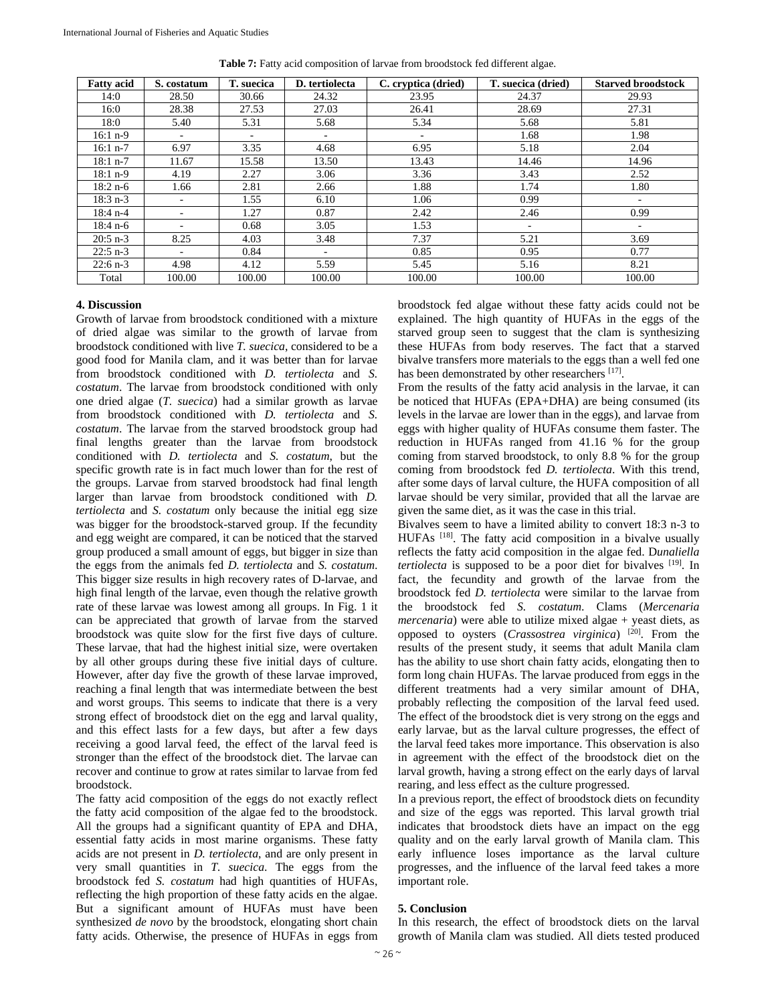| <b>Fatty acid</b> | S. costatum | T. suecica | D. tertiolecta | C. cryptica (dried) | T. suecica (dried)       | <b>Starved broodstock</b> |
|-------------------|-------------|------------|----------------|---------------------|--------------------------|---------------------------|
| 14:0              | 28.50       | 30.66      | 24.32          | 23.95               | 24.37                    | 29.93                     |
| 16:0              | 28.38       | 27.53      | 27.03          | 26.41               | 28.69                    | 27.31                     |
| 18:0              | 5.40        | 5.31       | 5.68           | 5.34                | 5.68                     | 5.81                      |
| $16:1 n-9$        | ٠           |            |                |                     | 1.68                     | 1.98                      |
| $16:1 n-7$        | 6.97        | 3.35       | 4.68           | 6.95                | 5.18                     | 2.04                      |
| $18:1 n-7$        | 11.67       | 15.58      | 13.50          | 13.43               | 14.46                    | 14.96                     |
| $18:1 n-9$        | 4.19        | 2.27       | 3.06           | 3.36                | 3.43                     | 2.52                      |
| $18:2 n-6$        | 1.66        | 2.81       | 2.66           | 1.88                | 1.74                     | 1.80                      |
| $18:3 n-3$        | ٠           | 1.55       | 6.10           | 1.06                | 0.99                     |                           |
| $18:4 n-4$        | ٠           | 1.27       | 0.87           | 2.42                | 2.46                     | 0.99                      |
| $18:4 n-6$        | ٠           | 0.68       | 3.05           | 1.53                | $\overline{\phantom{a}}$ | $\overline{\phantom{a}}$  |
| $20:5$ n-3        | 8.25        | 4.03       | 3.48           | 7.37                | 5.21                     | 3.69                      |
| $22:5$ n-3        | ٠           | 0.84       | ۰.             | 0.85                | 0.95                     | 0.77                      |
| $22:6$ n-3        | 4.98        | 4.12       | 5.59           | 5.45                | 5.16                     | 8.21                      |
| Total             | 100.00      | 100.00     | 100.00         | 100.00              | 100.00                   | 100.00                    |

**Table 7:** Fatty acid composition of larvae from broodstock fed different algae.

## **4. Discussion**

Growth of larvae from broodstock conditioned with a mixture of dried algae was similar to the growth of larvae from broodstock conditioned with live *T. suecica*, considered to be a good food for Manila clam, and it was better than for larvae from broodstock conditioned with *D. tertiolecta* and *S. costatum*. The larvae from broodstock conditioned with only one dried algae (*T. suecica*) had a similar growth as larvae from broodstock conditioned with *D. tertiolecta* and *S. costatum*. The larvae from the starved broodstock group had final lengths greater than the larvae from broodstock conditioned with *D. tertiolecta* and *S. costatum*, but the specific growth rate is in fact much lower than for the rest of the groups. Larvae from starved broodstock had final length larger than larvae from broodstock conditioned with *D. tertiolecta* and *S. costatum* only because the initial egg size was bigger for the broodstock-starved group. If the fecundity and egg weight are compared, it can be noticed that the starved group produced a small amount of eggs, but bigger in size than the eggs from the animals fed *D. tertiolecta* and *S. costatum*. This bigger size results in high recovery rates of D-larvae, and high final length of the larvae, even though the relative growth rate of these larvae was lowest among all groups. In Fig. 1 it can be appreciated that growth of larvae from the starved broodstock was quite slow for the first five days of culture. These larvae, that had the highest initial size, were overtaken by all other groups during these five initial days of culture. However, after day five the growth of these larvae improved, reaching a final length that was intermediate between the best and worst groups. This seems to indicate that there is a very strong effect of broodstock diet on the egg and larval quality, and this effect lasts for a few days, but after a few days receiving a good larval feed, the effect of the larval feed is stronger than the effect of the broodstock diet. The larvae can recover and continue to grow at rates similar to larvae from fed broodstock.

The fatty acid composition of the eggs do not exactly reflect the fatty acid composition of the algae fed to the broodstock. All the groups had a significant quantity of EPA and DHA, essential fatty acids in most marine organisms. These fatty acids are not present in *D. tertiolecta*, and are only present in very small quantities in *T. suecica*. The eggs from the broodstock fed *S. costatum* had high quantities of HUFAs, reflecting the high proportion of these fatty acids en the algae. But a significant amount of HUFAs must have been synthesized *de novo* by the broodstock, elongating short chain fatty acids. Otherwise, the presence of HUFAs in eggs from

broodstock fed algae without these fatty acids could not be explained. The high quantity of HUFAs in the eggs of the starved group seen to suggest that the clam is synthesizing these HUFAs from body reserves. The fact that a starved bivalve transfers more materials to the eggs than a well fed one has been demonstrated by other researchers <sup>[17]</sup>.

From the results of the fatty acid analysis in the larvae, it can be noticed that HUFAs (EPA+DHA) are being consumed (its levels in the larvae are lower than in the eggs), and larvae from eggs with higher quality of HUFAs consume them faster. The reduction in HUFAs ranged from 41.16 % for the group coming from starved broodstock, to only 8.8 % for the group coming from broodstock fed *D. tertiolecta*. With this trend, after some days of larval culture, the HUFA composition of all larvae should be very similar, provided that all the larvae are given the same diet, as it was the case in this trial.

Bivalves seem to have a limited ability to convert 18:3 n-3 to HUFAs [18]. The fatty acid composition in a bivalve usually reflects the fatty acid composition in the algae fed. D*unaliella tertiolecta* is supposed to be a poor diet for bivalves [19]. In fact, the fecundity and growth of the larvae from the broodstock fed *D. tertiolecta* were similar to the larvae from the broodstock fed *S. costatum*. Clams (*Mercenaria mercenaria*) were able to utilize mixed algae + yeast diets, as opposed to oysters (*Crassostrea virginica*) [20]. From the results of the present study, it seems that adult Manila clam has the ability to use short chain fatty acids, elongating then to form long chain HUFAs. The larvae produced from eggs in the different treatments had a very similar amount of DHA, probably reflecting the composition of the larval feed used. The effect of the broodstock diet is very strong on the eggs and early larvae, but as the larval culture progresses, the effect of the larval feed takes more importance. This observation is also in agreement with the effect of the broodstock diet on the larval growth, having a strong effect on the early days of larval rearing, and less effect as the culture progressed.

In a previous report, the effect of broodstock diets on fecundity and size of the eggs was reported. This larval growth trial indicates that broodstock diets have an impact on the egg quality and on the early larval growth of Manila clam. This early influence loses importance as the larval culture progresses, and the influence of the larval feed takes a more important role.

## **5. Conclusion**

In this research, the effect of broodstock diets on the larval growth of Manila clam was studied. All diets tested produced